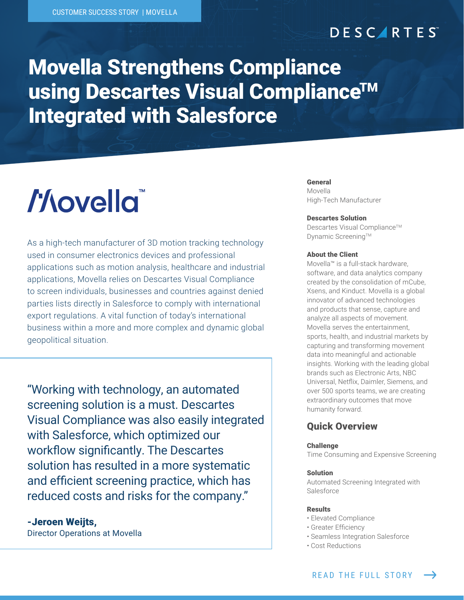## **DESCARTES**

## Movella Strengthens Compliance **using Descartes Visual Compliance™** Integrated with Salesforce

# *Hovella*

As a high-tech manufacturer of 3D motion tracking technology used in consumer electronics devices and professional applications such as motion analysis, healthcare and industrial applications, Movella relies on Descartes Visual Compliance to screen individuals, businesses and countries against denied parties lists directly in Salesforce to comply with international export regulations. A vital function of today's international business within a more and more complex and dynamic global geopolitical situation.

"Working with technology, an automated screening solution is a must. Descartes Visual Compliance was also easily integrated with Salesforce, which optimized our workflow significantly. The Descartes solution has resulted in a more systematic and efficient screening practice, which has reduced costs and risks for the company."

-Jeroen Weijts, Director Operations at Movella

#### General Movella High-Tech Manufacturer

#### Descartes Solution

Descartes Visual Compliance™ Dynamic Screening™

#### About the Client

Movella™ is a full-stack hardware, software, and data analytics company created by the consolidation of mCube, Xsens, and Kinduct. Movella is a global innovator of advanced technologies and products that sense, capture and analyze all aspects of movement. Movella serves the entertainment, sports, health, and industrial markets by capturing and transforming movement data into meaningful and actionable insights. Working with the leading global brands such as Electronic Arts, NBC Universal, Netflix, Daimler, Siemens, and over 500 sports teams, we are creating extraordinary outcomes that move humanity forward.

#### Quick Overview

#### Challenge

Time Consuming and Expensive Screening

#### Solution

Automated Screening Integrated with Salesforce

#### Results

- Elevated Compliance
- Greater Efficiency
- Seamless Integration Salesforce
- Cost Reductions